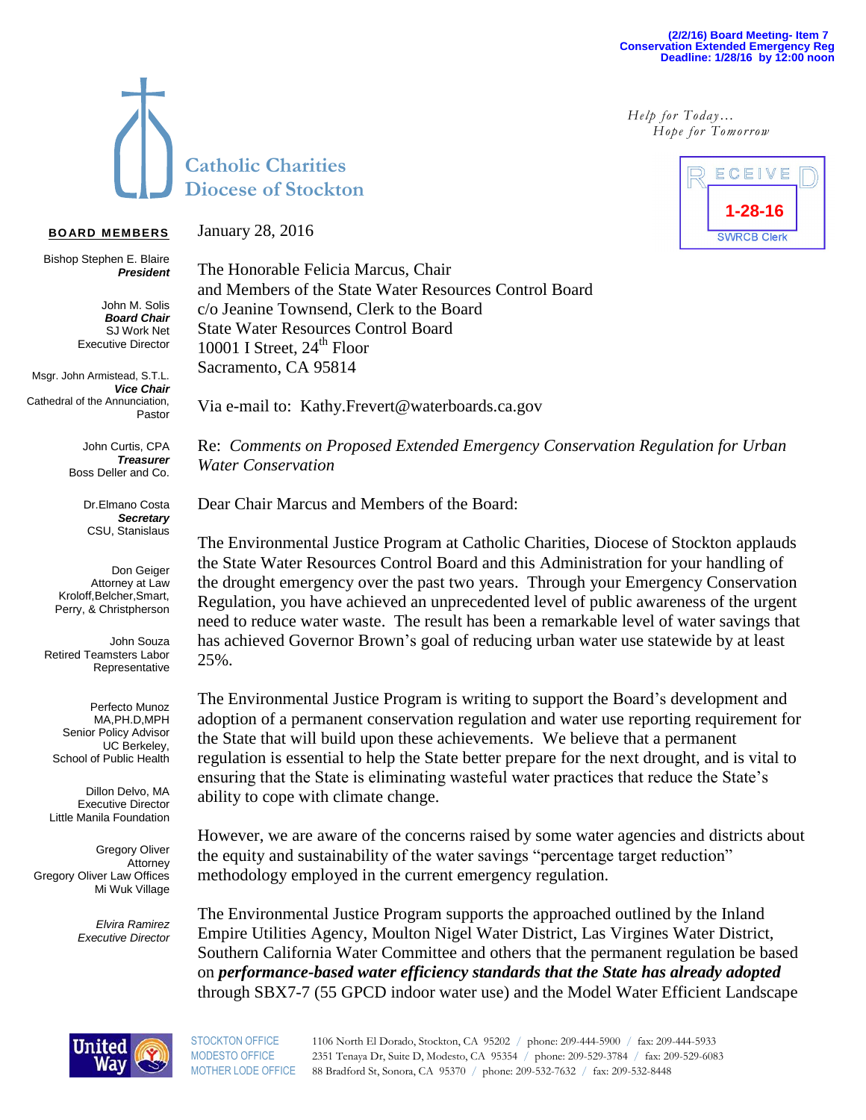## **(2/2/16) Board Meeting- Item 7 Conservation Extended Emergency Reg Deadline: 1/28/16 by 12:00 noon**

*Help for Today… Hope for Tomorrow*



## **BO ARD MEMBERS**

G. Propisions *Executive Director President* Bishop Stephen E. Blaire

> John M. Solis Buaru Ghan *President* SJ Work Net *Board Chair* Executive Director

Msgr. John Armistead, S.T.L. *Vice Chair* Cathedral of the Annunciation, Pastor

> John Curtis, CPA Christina Caetano, *Secretary Treasurer* Boss Deller and Co.

Dr.Elmano Costa **Secretary**  $\overline{\phantom{a}}$ CSU, Stanislaus

Don Geiger Attorney at Law Perry, & Christpherson Orthopedic Dr. Kroloff,Belcher,Smart,

John Souza Retired Teamsters Labor Representative

Perfecto Munoz MA,PH.D,MPH Senior Policy Advisor School of Public Health UC Berkeley,

Dillon Delvo, MA Executive Director Little Manila Foundation

Gregory Oliver Attorney Gregory Oliver Law Offices Mi Wuk Village

> *Elvira Ramirez Executive Director*

January 28, 2016

The Honorable Felicia Marcus, Chair and Members of the State Water Resources Control Board c/o Jeanine Townsend, Clerk to the Board State Water Resources Control Board 10001 I Street,  $24<sup>th</sup>$  Floor Sacramento, CA 95814

Via e-mail to: Kathy.Frevert@waterboards.ca.gov

Re: *Comments on Proposed Extended Emergency Conservation Regulation for Urban Water Conservation*

Dear Chair Marcus and Members of the Board:

The Environmental Justice Program at Catholic Charities, Diocese of Stockton applauds the State Water Resources Control Board and this Administration for your handling of the drought emergency over the past two years. Through your Emergency Conservation Regulation, you have achieved an unprecedented level of public awareness of the urgent need to reduce water waste. The result has been a remarkable level of water savings that has achieved Governor Brown's goal of reducing urban water use statewide by at least 25%.

The Environmental Justice Program is writing to support the Board's development and adoption of a permanent conservation regulation and water use reporting requirement for the State that will build upon these achievements. We believe that a permanent regulation is essential to help the State better prepare for the next drought, and is vital to ensuring that the State is eliminating wasteful water practices that reduce the State's ability to cope with climate change.

However, we are aware of the concerns raised by some water agencies and districts about the equity and sustainability of the water savings "percentage target reduction" methodology employed in the current emergency regulation.

The Environmental Justice Program supports the approached outlined by the Inland Empire Utilities Agency, Moulton Nigel Water District, Las Virgines Water District, Southern California Water Committee and others that the permanent regulation be based on *performance-based water efficiency standards that the State has already adopted* through SBX7-7 (55 GPCD indoor water use) and the Model Water Efficient Landscape



STOCKTON OFFICE 1106 North El Dorado, Stockton, CA 95202 / phone: 209-444-5900 / fax: 209-444-5933 MODESTO OFFICE 2351 Tenaya Dr, Suite D, Modesto, CA 95354 / phone: 209-529-3784 / fax: 209-529-6083 MOTHER LODE OFFICE 88 Bradford St, Sonora, CA 95370 / phone: 209-532-7632 / fax: 209-532-8448